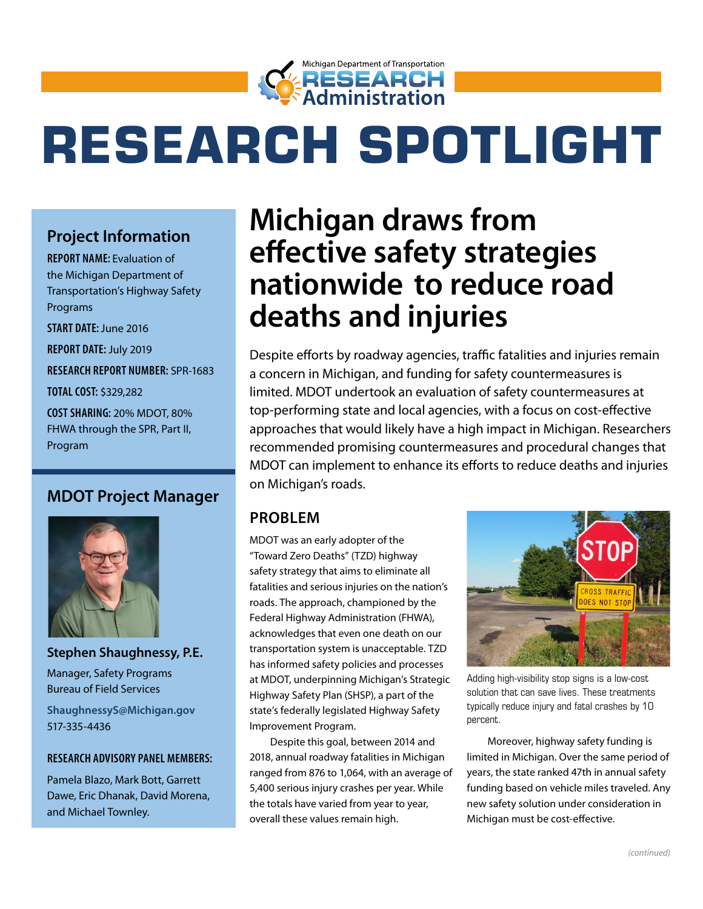

# **RESEARCH SPOTLIGHT**

### **Project Information**

**REPORT NAME:** Evaluation of the Michigan Department of Transportation's Highway Safety Programs

**START DATE:** June 2016

**REPORT DATE:** July 2019

**RESEARCH REPORT NUMBER:** SPR-1683

**TOTAL COST:** \$329,282

**COST SHARING:** 20% MDOT, 80% FHWA through the SPR, Part II, Program

#### **MDOT Project Manager**



**Stephen Shaughnessy, P.E.** Manager, Safety Programs Bureau of Field Services

**[ShaughnessyS@Michigan.gov](mailto:ShaughnessyS@Michigan.gov)** 517-335-4436

#### **RESEARCH ADVISORY PANEL MEMBERS:**

Pamela Blazo, Mark Bott, Garrett Dawe, Eric Dhanak, David Morena, and Michael Townley.

# **Michigan draws from effective safety strategies nationwide to reduce road deaths and injuries**

Despite efforts by roadway agencies, traffic fatalities and injuries remain a concern in Michigan, and funding for safety countermeasures is limited. MDOT undertook an evaluation of safety countermeasures at top-performing state and local agencies, with a focus on cost-effective approaches that would likely have a high impact in Michigan. Researchers recommended promising countermeasures and procedural changes that MDOT can implement to enhance its efforts to reduce deaths and injuries on Michigan's roads.

#### **PROBLEM**

MDOT was an early adopter of the "Toward Zero Deaths" (TZD) highway safety strategy that aims to eliminate all fatalities and serious injuries on the nation's roads. The approach, championed by the Federal Highway Administration (FHWA), acknowledges that even one death on our transportation system is unacceptable. TZD has informed safety policies and processes at MDOT, underpinning Michigan's Strategic Highway Safety Plan (SHSP), a part of the state's federally legislated Highway Safety Improvement Program.

Despite this goal, between 2014 and 2018, annual roadway fatalities in Michigan ranged from 876 to 1,064, with an average of 5,400 serious injury crashes per year. While the totals have varied from year to year, overall these values remain high.



Adding high-visibility stop signs is a low-cost solution that can save lives. These treatments typically reduce injury and fatal crashes by 10 percent.

Moreover, highway safety funding is limited in Michigan. Over the same period of years, the state ranked 47th in annual safety funding based on vehicle miles traveled. Any new safety solution under consideration in Michigan must be cost-effective.